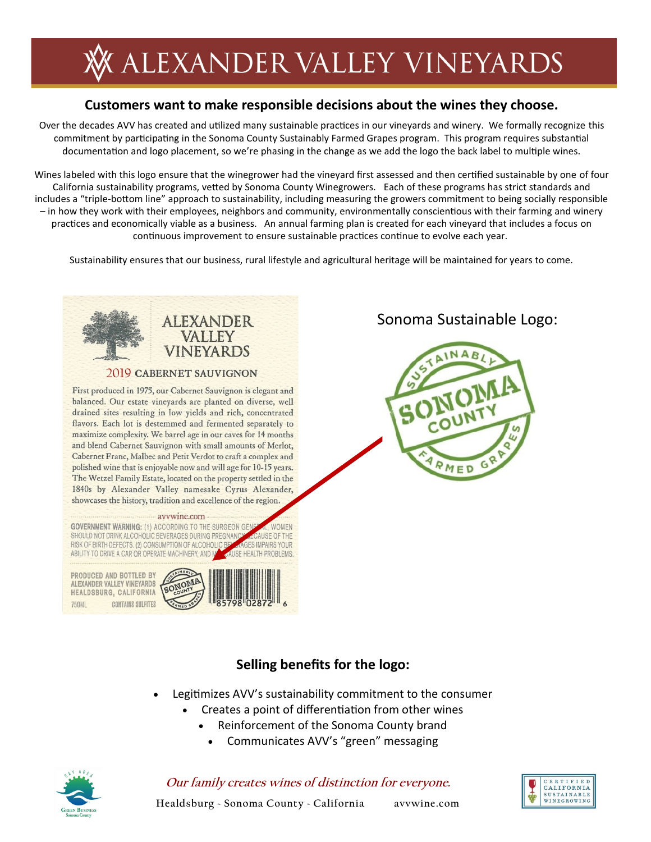# **ALEXANDER VALLEY VINEYARDS**

### **Customers want to make responsible decisions about the wines they choose.**

Over the decades AVV has created and utilized many sustainable practices in our vineyards and winery. We formally recognize this commitment by participating in the Sonoma County Sustainably Farmed Grapes program. This program requires substantial documentation and logo placement, so we're phasing in the change as we add the logo the back label to multiple wines.

Wines labeled with this logo ensure that the winegrower had the vineyard first assessed and then certified sustainable by one of four California sustainability programs, vetted by Sonoma County Winegrowers. Each of these programs has strict standards and includes a "triple-bottom line" approach to sustainability, including measuring the growers commitment to being socially responsible – in how they work with their employees, neighbors and community, environmentally conscientious with their farming and winery practices and economically viable as a business. An annual farming plan is created for each vineyard that includes a focus on continuous improvement to ensure sustainable practices continue to evolve each year.

Sustainability ensures that our business, rural lifestyle and agricultural heritage will be maintained for years to come.



٥

#### **Selling benefits for the logo:**

- Legitimizes AVV's sustainability commitment to the consumer
	- Creates a point of differentiation from other wines
		- Reinforcement of the Sonoma County brand
		- Communicates AVV's "green" messaging



#### **Our family creates wines of distinction for everyone.**

**CERTIFIED CATTEORNIA** SUSTAINABLE<br>WINEGROWING

**Healdsburg ~ Sonoma County ~ California avvwine.com**